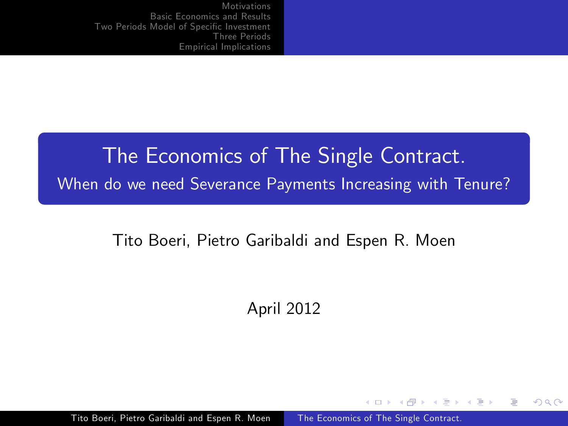# The Economics of The Single Contract. When do we need Severance Payments Increasing with Tenure?

#### Tito Boeri, Pietro Garibaldi and Espen R. Moen

April 2012

a mills

∢ 何 ▶ 《 百 ▶

 $\Omega$ 

Tito Boeri, Pietro Garibaldi and Espen R. Moen The Economics of The Single Contract.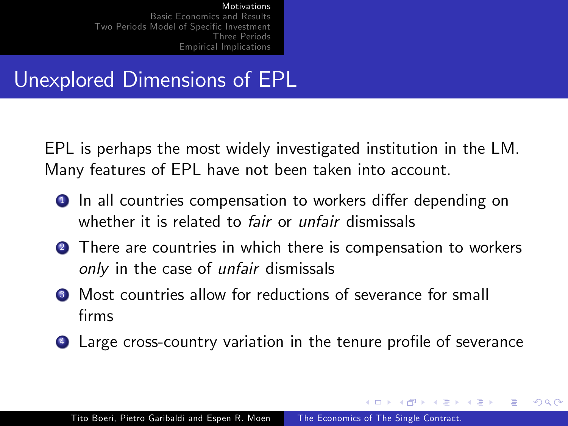## Unexplored Dimensions of EPL

EPL is perhaps the most widely investigated institution in the LM. Many features of EPL have not been taken into account.

- **■** In all countries compensation to workers differ depending on whether it is related to *fair* or *unfair* dismissals
- **2** There are countries in which there is compensation to workers only in the case of *unfair* dismissals
- **3** Most countries allow for reductions of severance for small firms
- 4 Large cross-country variation in the tenure profile of severance

オター・オート オート

つくへ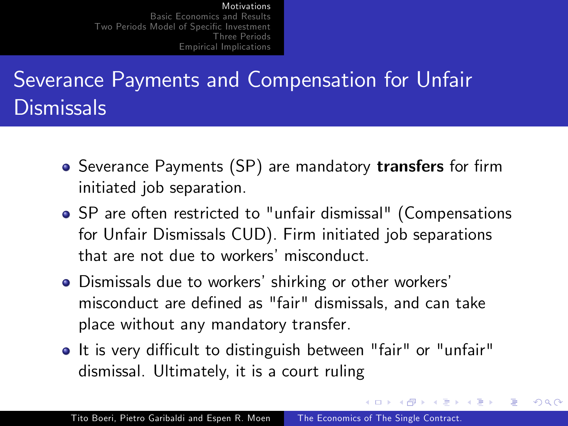# Severance Payments and Compensation for Unfair **Dismissals**

- Severance Payments (SP) are mandatory transfers for firm initiated job separation.
- SP are often restricted to "unfair dismissal" (Compensations for Unfair Dismissals CUD). Firm initiated job separations that are not due to workers' misconduct.
- Dismissals due to workers' shirking or other workers' misconduct are defined as "fair" dismissals, and can take place without any mandatory transfer.
- It is very difficult to distinguish between "fair" or "unfair" dismissal. Ultimately, it is a court ruling

**K 何 ▶ 【 手 ▶** 

つくへ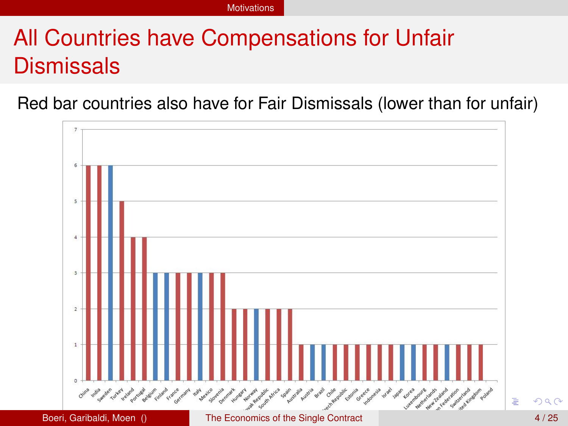# All Countries have Compensations for Unfair **Dismissals**

Red bar countries also have for Fair Dismissals (lower than for unfair)

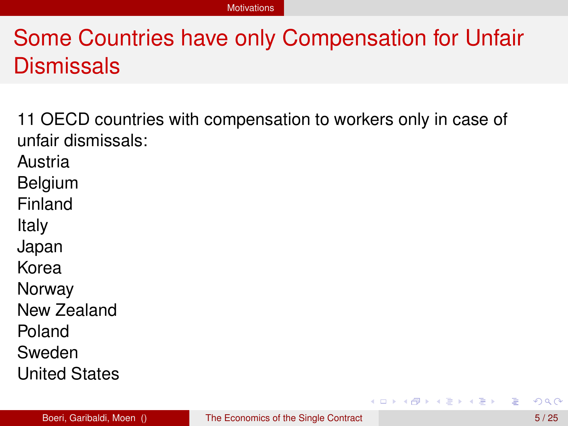# Some Countries have only Compensation for Unfair Dismissals

11 OECD countries with compensation to workers only in case of unfair dismissals:

Austria

Belgium

Finland

Italy

Japan

Korea

Norway

New Zealand

Poland

Sweden

United States

Þ

 $\mathcal{A}$   $\overline{\mathcal{B}}$   $\rightarrow$   $\mathcal{A}$   $\overline{\mathcal{B}}$   $\rightarrow$   $\mathcal{A}$   $\overline{\mathcal{B}}$   $\rightarrow$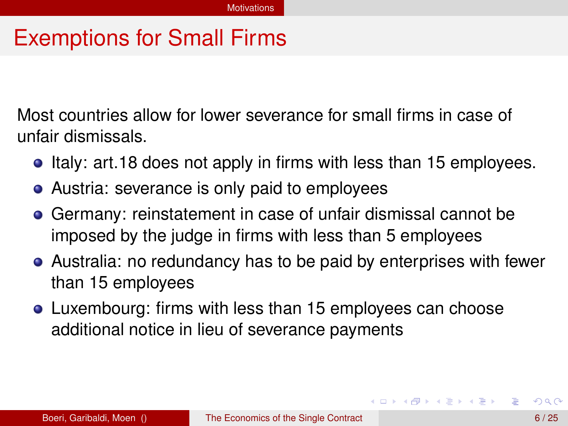### Exemptions for Small Firms

Most countries allow for lower severance for small firms in case of unfair dismissals.

- Italy: art.18 does not apply in firms with less than 15 employees.
- Austria: severance is only paid to employees
- Germany: reinstatement in case of unfair dismissal cannot be imposed by the judge in firms with less than 5 employees
- Australia: no redundancy has to be paid by enterprises with fewer than 15 employees
- Luxembourg: firms with less than 15 employees can choose additional notice in lieu of severance payments

イロト イ押 トイラト イラトー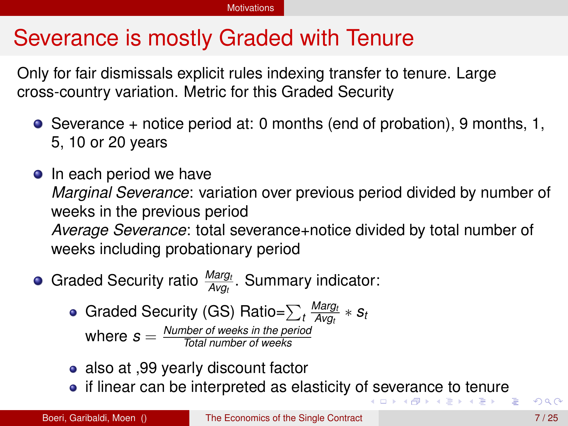## Severance is mostly Graded with Tenure

Only for fair dismissals explicit rules indexing transfer to tenure. Large cross-country variation. Metric for this Graded Security

- $\bullet$  Severance + notice period at: 0 months (end of probation), 9 months, 1, 5, 10 or 20 years
- **o** In each period we have *Marginal Severance*: variation over previous period divided by number of weeks in the previous period *Average Severance*: total severance+notice divided by total number of weeks including probationary period
- Graded Security ratio *Marg<sup>t</sup> Avg<sup>t</sup>* . Summary indicator:
	- Graded Security (GS) Ratio= $\sum_{t} \frac{Marg_t}{Avg_t}$  $\frac{warg_t}{Avg_t}$  ∗  $s_t$ where *s* = *Number of weeks in the period Total number of weeks*
	- also at ,99 yearly discount factor
	- if linear can be interpreted as elasticity of severance to tenure<br>  $\begin{array}{c} \bullet \end{array}$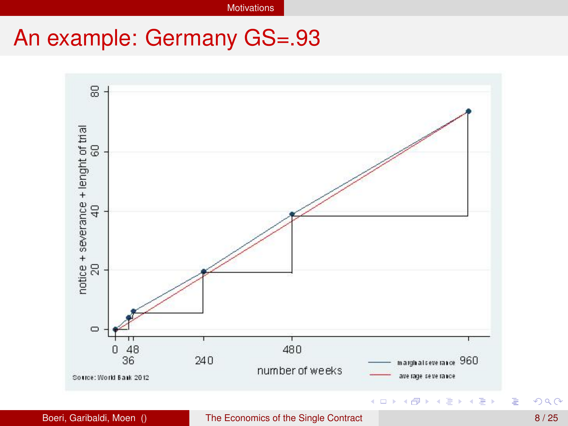**Motivations** 

### An example: Germany GS=.93

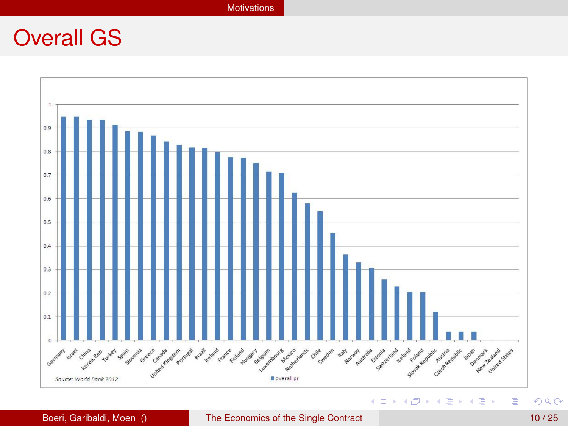#### **Motivations**

### Overall GS



#### Boeri, Garibaldi, Moen () The Economics of the Single Contract 10 / 25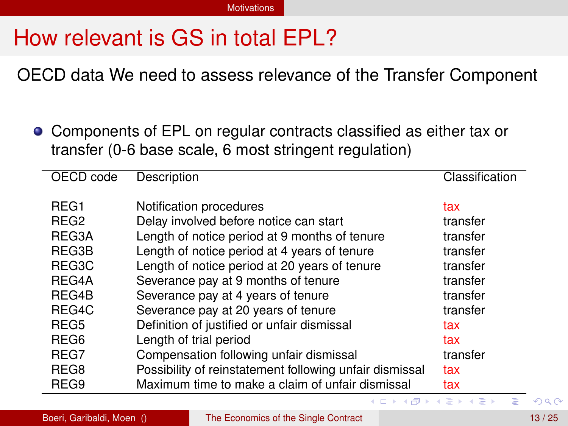# How relevant is GS in total EPL?

OECD data We need to assess relevance of the Transfer Component

Components of EPL on regular contracts classified as either tax or transfer (0-6 base scale, 6 most stringent regulation)

| OECD code        | Description                                             | Classification |
|------------------|---------------------------------------------------------|----------------|
| REG <sub>1</sub> | Notification procedures                                 | tax            |
| REG <sub>2</sub> | Delay involved before notice can start                  | transfer       |
| REG3A            | Length of notice period at 9 months of tenure           | transfer       |
| REG3B            | Length of notice period at 4 years of tenure            | transfer       |
| REG3C            | Length of notice period at 20 years of tenure           | transfer       |
| REG4A            | Severance pay at 9 months of tenure                     | transfer       |
| REG4B            | Severance pay at 4 years of tenure                      | transfer       |
| REG4C            | Severance pay at 20 years of tenure                     | transfer       |
| REG <sub>5</sub> | Definition of justified or unfair dismissal             | tax            |
| REG <sub>6</sub> | Length of trial period                                  | tax            |
| REG7             | Compensation following unfair dismissal                 | transfer       |
| REG8             | Possibility of reinstatement following unfair dismissal | tax            |
| REG9             | Maximum time to make a claim of unfair dismissal        | tax            |

 $\overline{a}$ 

14. B. K.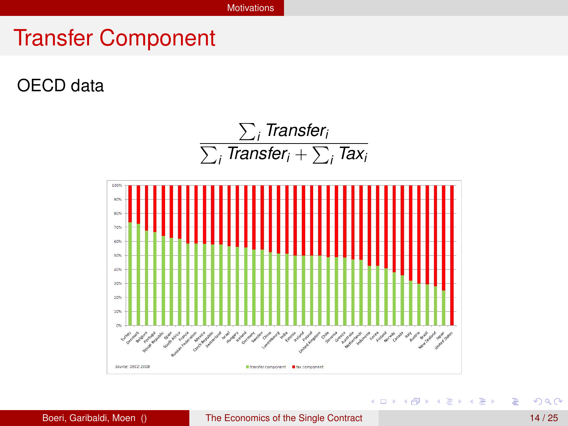### Transfer Component

### OECD data



Þ

4 0 8 4 4 9 8 4 9 8 4 9 8 1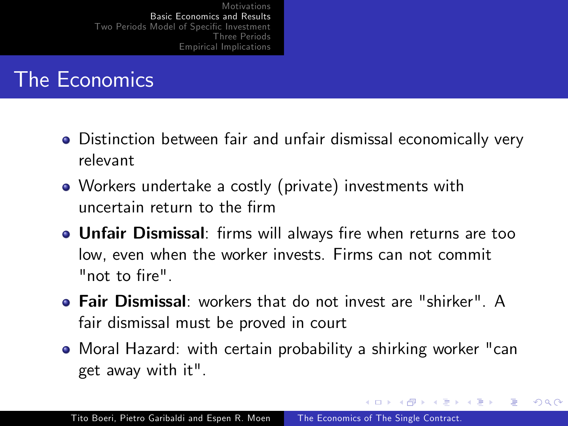### The Economics

- Distinction between fair and unfair dismissal economically very relevant
- Workers undertake a costly (private) investments with uncertain return to the Örm
- **.** Unfair Dismissal: firms will always fire when returns are too low, even when the worker invests. Firms can not commit "not to fire".
- Fair Dismissal: workers that do not invest are "shirker". A fair dismissal must be proved in court
- Moral Hazard: with certain probability a shirking worker "can get away with it".

→ 何 ▶ → 手 ▶

つくへ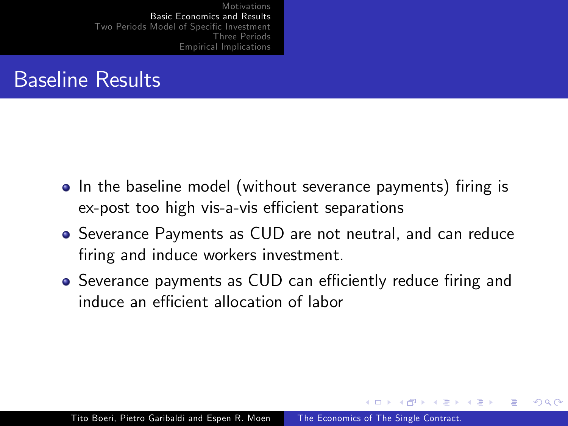### Baseline Results

- In the baseline model (without severance payments) firing is ex-post too high vis-a-vis efficient separations
- Severance Payments as CUD are not neutral, and can reduce firing and induce workers investment.
- Severance payments as CUD can efficiently reduce firing and induce an efficient allocation of labor

つくへ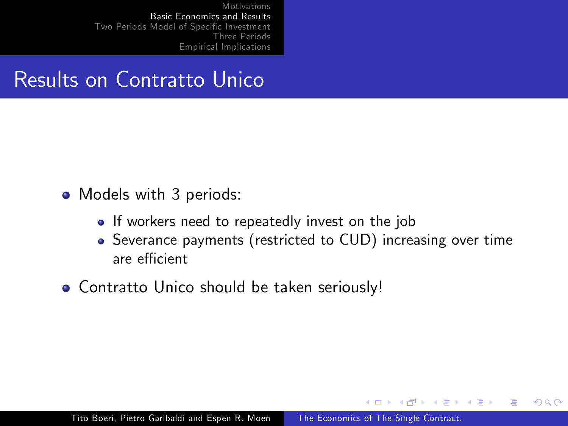### Results on Contratto Unico

- Models with 3 periods:
	- If workers need to repeatedly invest on the job
	- Severance payments (restricted to CUD) increasing over time are efficient

石  $\sim$  $\rightarrow$   $\equiv$   $\rightarrow$  つくへ

**• Contratto Unico should be taken seriously!**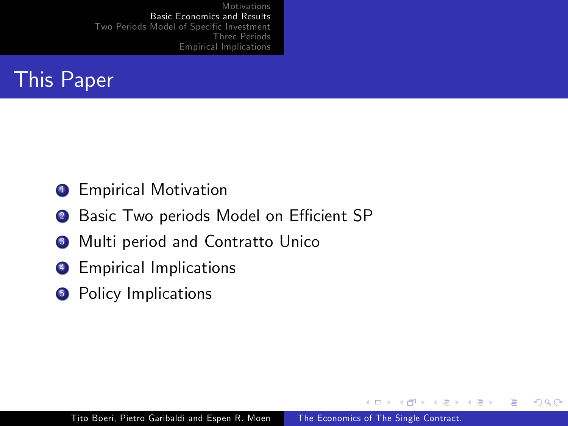

### **1** Empirical Motivation

- 2 Basic Two periods Model on Efficient SP
- <sup>3</sup> Multi period and Contratto Unico
- **4** Empirical Implications
- **6** Policy Implications

 $\sim$   $\sim$ 

← 冊  $\sim$  $\leftarrow$   $\equiv$   $\Omega$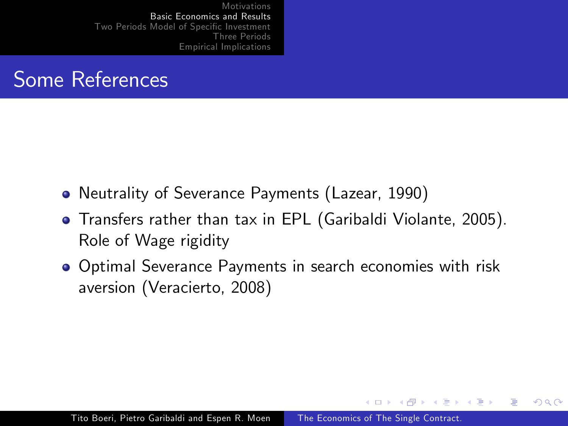

- Neutrality of Severance Payments (Lazear, 1990)
- Transfers rather than tax in EPL (Garibaldi Violante, 2005). Role of Wage rigidity
- Optimal Severance Payments in search economies with risk aversion (Veracierto, 2008)

 $\overline{a}$   $\overline{m}$   $\overline{b}$ 

 $\rightarrow$   $\equiv$   $\rightarrow$ 

つくへ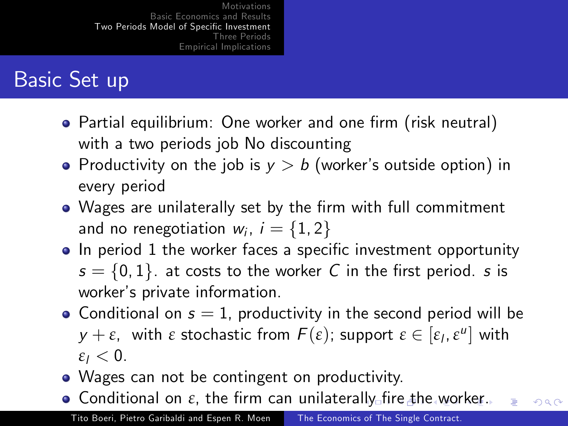# Basic Set up

- Partial equilibrium: One worker and one firm (risk neutral) with a two periods job No discounting
- Productivity on the job is  $y > b$  (worker's outside option) in every period
- Wages are unilaterally set by the firm with full commitment and no renegotiation  $w_i$ ,  $i = \{1, 2\}$
- In period 1 the worker faces a specific investment opportunity  $s = \{0, 1\}$ . at costs to the worker C in the first period. s is worker's private information.
- Conditional on  $s = 1$ , productivity in the second period will be *y* + *ε*, with *ε* stochastic from  $F(\varepsilon)$ ; support  $\varepsilon$  ∈  $[\varepsilon$ <sub>l</sub>,  $\varepsilon$ <sup>u</sup>] with  $\epsilon_l < 0$ .
- Wages can not be contingent on productivity.
- **•** Conditional on  $\varepsilon$ , the firm can unilaterally fire the worker.  $200$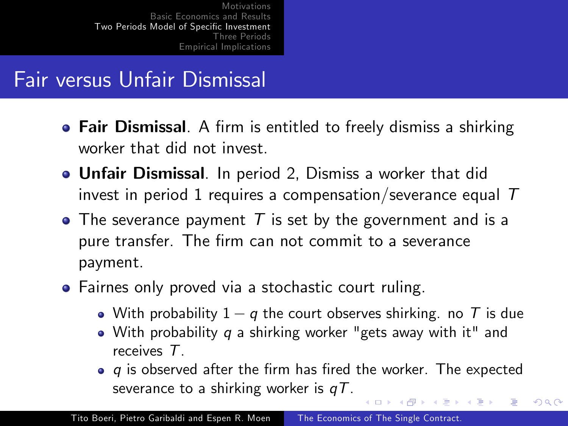### Fair versus Unfair Dismissal

- Fair Dismissal. A firm is entitled to freely dismiss a shirking worker that did not invest.
- Unfair Dismissal. In period 2, Dismiss a worker that did invest in period 1 requires a compensation/severance equal  $T$
- $\bullet$  The severance payment  $T$  is set by the government and is a pure transfer. The firm can not commit to a severance payment.
- Fairnes only proved via a stochastic court ruling.
	- With probability  $1 q$  the court observes shirking. no T is due
	- With probability q a shirking worker "gets away with it" and receives T.
	- $\bullet$  q is observed after the firm has fired the worker. The expected severance to a shirking worker is  $qT$ .

∢ ロ ▶ . ∢ 何 ▶ . ∢ ヨ ▶

つくへ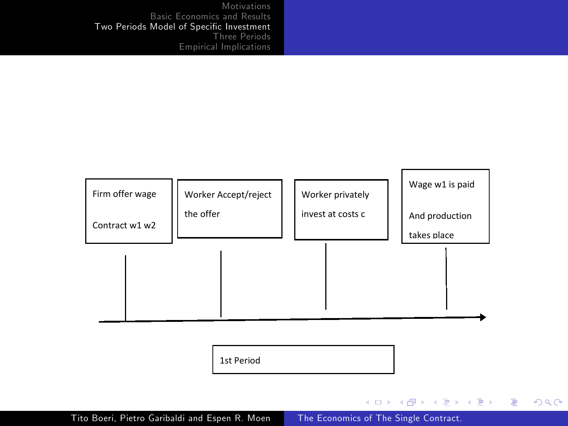

 $\equiv$ 

 $299$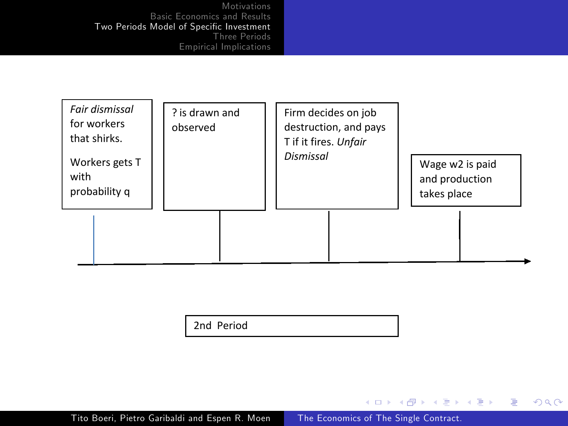| Fair dismissal<br>for workers<br>that shirks.<br>Workers gets T<br>with<br>probability q | ? is drawn and<br>observed | Firm decides on job<br>destruction, and pays<br>T if it fires. Unfair<br>Dismissal | Wage w2 is paid<br>and production<br>takes place |
|------------------------------------------------------------------------------------------|----------------------------|------------------------------------------------------------------------------------|--------------------------------------------------|
|                                                                                          |                            |                                                                                    |                                                  |

2nd Period

Tito Boeri, Pietro Garibaldi and Espen R. Moen The Economics of The Single Contract.

メロメ メタメ メミメ メミメー

目

 $299$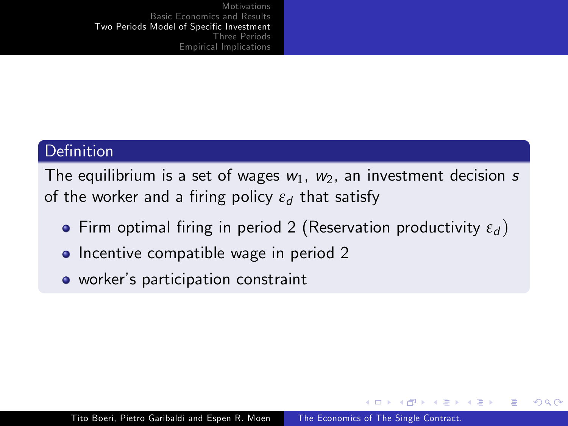#### Definition

The equilibrium is a set of wages  $w_1$ ,  $w_2$ , an investment decision s of the worker and a firing policy *ε*<sub>d</sub> that satisfy

- **Firm optimal firing in period 2 (Reservation productivity**  $\varepsilon_d$ **)**
- Incentive compatible wage in period 2
- workerís participation constraint

4母 ト 4回 ト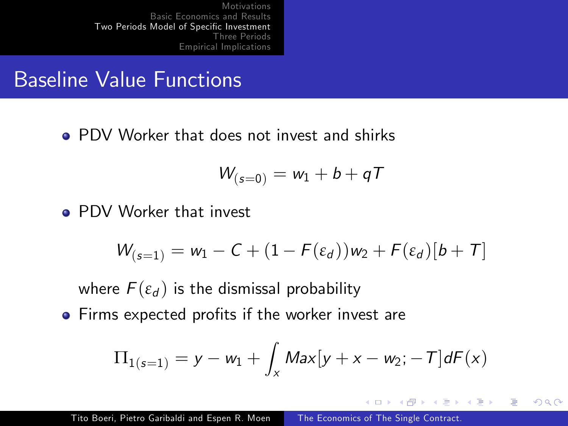### Baseline Value Functions

**• PDV Worker that does not invest and shirks** 

$$
W_{(s=0)}=w_1+b+qT
$$

**• PDV Worker that invest** 

$$
W_{(s=1)} = w_1 - C + (1 - F(\varepsilon_d))w_2 + F(\varepsilon_d)[b+T]
$$

where  $F(\varepsilon_d)$  is the dismissal probability

• Firms expected profits if the worker invest are

$$
\Pi_{1(s=1)} = y - w_1 + \int_x Max[y + x - w_2; -T] dF(x)
$$

 $\rightarrow$   $\equiv$   $\rightarrow$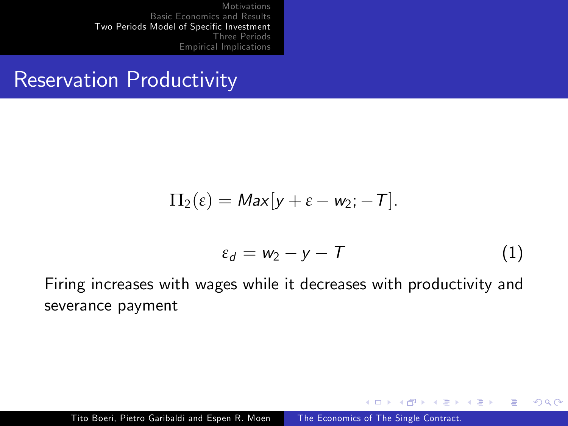### Reservation Productivity

$$
\Pi_2(\varepsilon)=\mathit{Max}[y+\varepsilon-w_2;-T].
$$

$$
\varepsilon_d = w_2 - y - T \tag{1}
$$

 $\sim$   $\sim$ 

∢母→ ∢目→

一 4 三 下

つくへ

Firing increases with wages while it decreases with productivity and severance payment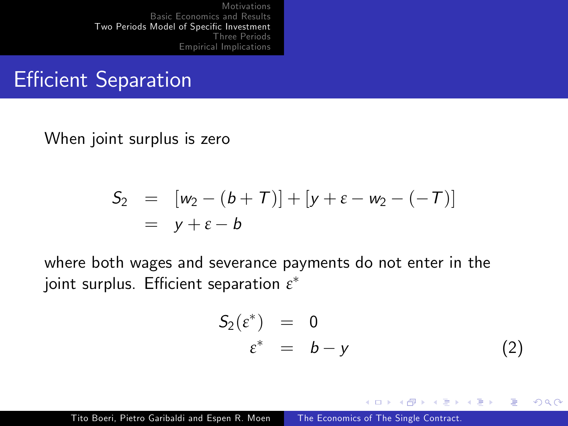### **Efficient Separation**

When joint surplus is zero

$$
S_2 = [w_2 - (b + T)] + [y + \varepsilon - w_2 - (-T)]
$$
  
= y + \varepsilon - b

where both wages and severance payments do not enter in the joint surplus. Efficient separation  $\varepsilon^*$ 

$$
S_2(\varepsilon^*) = 0
$$
  

$$
\varepsilon^* = b - y
$$
 (2)

モミメ

 $\Omega$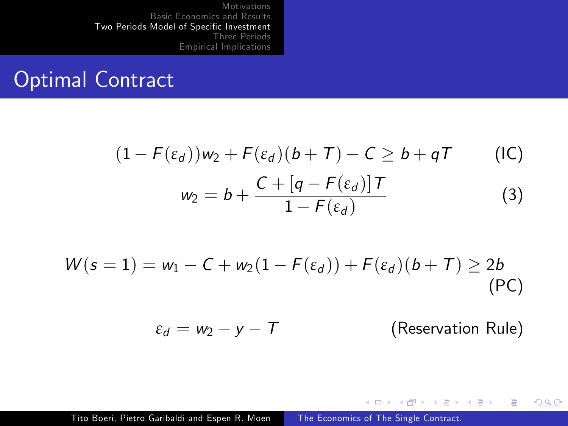### Optimal Contract

$$
(1 - F(\varepsilon_d))w_2 + F(\varepsilon_d)(b + T) - C \ge b + qT
$$
 (IC)  

$$
w_2 = b + \frac{C + [q - F(\varepsilon_d)]T}{1 - F(\varepsilon_d)}
$$
 (3)

$$
W(s=1) = w_1 - C + w_2(1 - F(\varepsilon_d)) + F(\varepsilon_d)(b+T) \ge 2b
$$
\n(PC)

 $\varepsilon_d = w_2 - y - T$  (Reservation Rule)

イロト イ部 トメ 君 トメ 君 ト

 $299$ 

э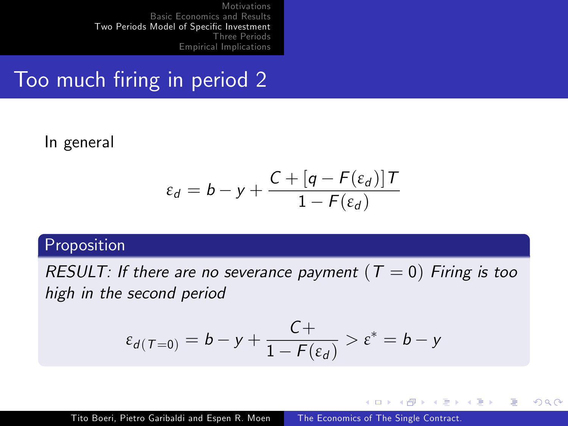### Too much firing in period 2

In general

$$
\varepsilon_d = b - y + \frac{C + [q - F(\varepsilon_d)]T}{1 - F(\varepsilon_d)}
$$

#### Proposition

RESULT: If there are no severance payment ( $T = 0$ ) Firing is too high in the second period

$$
\varepsilon_{d(T=0)} = b - y + \frac{C+}{1 - F(\varepsilon_d)} > \varepsilon^* = b - y
$$

4 17 18

- ④ 伊 ▶ ④ ヨ ▶ ④ ヨ ▶

 $200$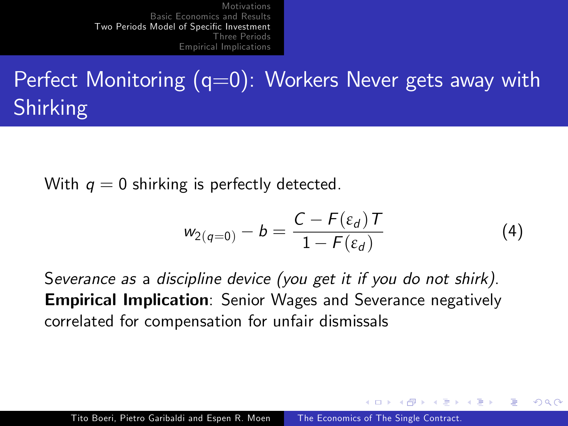# Perfect Monitoring  $(q=0)$ : Workers Never gets away with Shirking

With  $q = 0$  shirking is perfectly detected.

$$
w_{2(q=0)} - b = \frac{C - F(\varepsilon_d)T}{1 - F(\varepsilon_d)}
$$
(4)

 $4.49 \times 4.72 \times$ 

つくい

Severance as a discipline device (you get it if you do not shirk). **Empirical Implication**: Senior Wages and Severance negatively correlated for compensation for unfair dismissals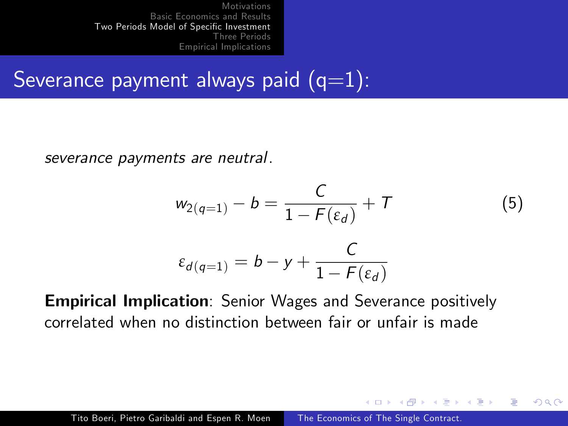# Severance payment always paid  $(q=1)$ :

severance payments are neutral.

$$
w_{2(q=1)} - b = \frac{C}{1 - F(\varepsilon_d)} + T
$$
\n
$$
\varepsilon_{d(q=1)} = b - y + \frac{C}{1 - F(\varepsilon_d)}
$$
\n(5)

**ALCOHOL:** 

つくい

Empirical Implication: Senior Wages and Severance positively correlated when no distinction between fair or unfair is made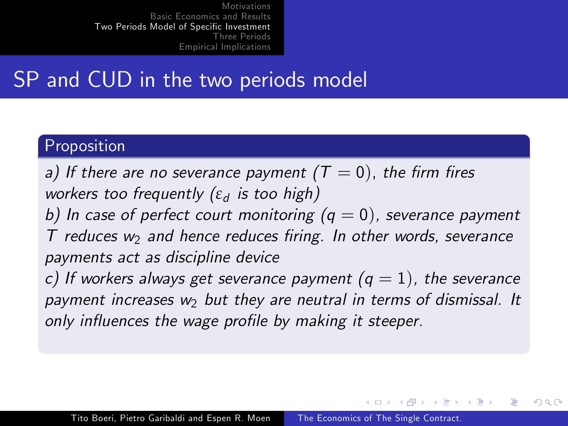### SP and CUD in the two periods model

#### Proposition

a) If there are no severance payment ( $T = 0$ ), the firm fires workers too frequently (ε<sub>d</sub> is too high)

b) In case of perfect court monitoring  $(q = 0)$ , severance payment  $T$  reduces  $w_2$  and hence reduces firing. In other words, severance payments act as discipline device

c) If workers always get severance payment  $(q = 1)$ , the severance payment increases  $w_2$  but they are neutral in terms of dismissal. It only influences the wage profile by making it steeper.

 $\rightarrow$   $\oplus$   $\rightarrow$   $\rightarrow$   $\oplus$   $\rightarrow$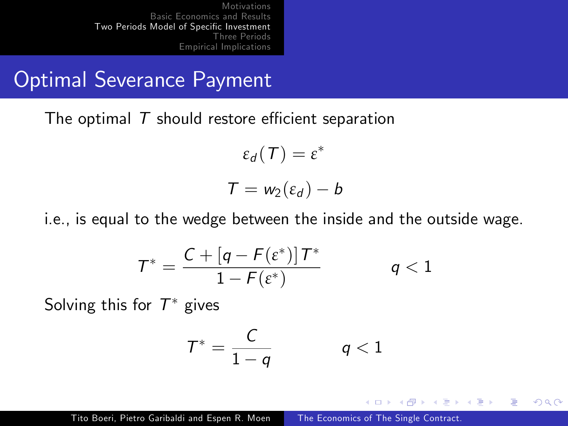### Optimal Severance Payment

The optimal  $T$  should restore efficient separation

 $\varepsilon_d(T) = \varepsilon^*$  $T = w_2(\varepsilon_d) - b$ 

i.e., is equal to the wedge between the inside and the outside wage.

$$
T^* = \frac{C + \left[q - F(\varepsilon^*)\right]T^*}{1 - F(\varepsilon^*)} \qquad q < 1
$$

Solving this for  $\mathcal{T}^*$  gives

$$
\mathcal{T}^* = \frac{\mathcal{C}}{1-q} \qquad \qquad q < 1
$$

→ 手→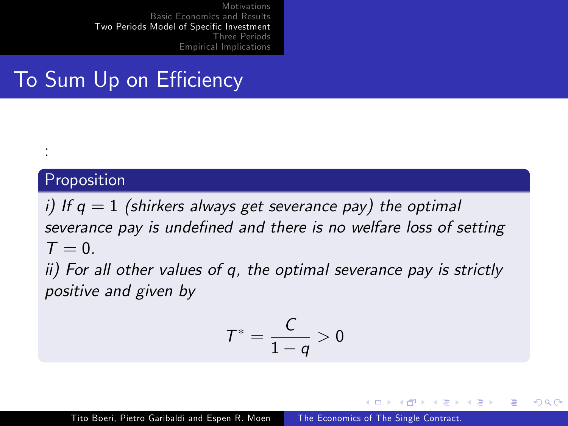# To Sum Up on Efficiency

#### Proposition

:

i) If  $q = 1$  (shirkers always get severance pay) the optimal severance pay is undefined and there is no welfare loss of setting  $T = 0$ 

ii) For all other values of q, the optimal severance pay is strictly positive and given by

$$
T^*=\frac{C}{1-q}>0
$$

 $\rightarrow$   $\oplus$   $\rightarrow$   $\rightarrow$   $\oplus$   $\rightarrow$ 

4 m k

 $200$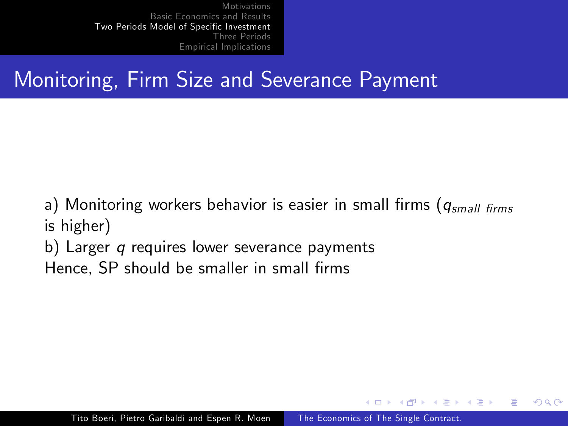# Monitoring, Firm Size and Severance Payment

a) Monitoring workers behavior is easier in small firms ( $q_{small \; firms}$ is higher)

b) Larger q requires lower severance payments

Hence, SP should be smaller in small firms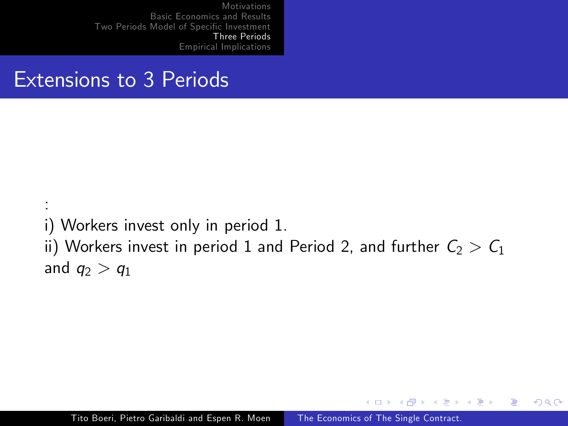### Extensions to 3 Periods

:

i) Workers invest only in period 1. ii) Workers invest in period 1 and Period 2, and further  $C_2 > C_1$ and  $q_2 > q_1$ 

 $\leftarrow$ 

同  $\sim$  $\rightarrow$   $\equiv$   $\rightarrow$   $\Omega$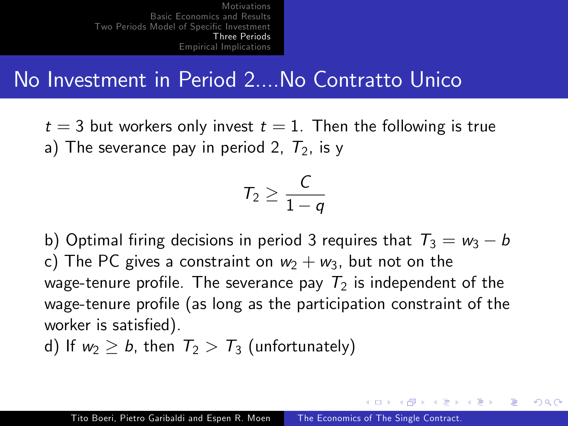### No Investment in Period 2....No Contratto Unico

 $t = 3$  but workers only invest  $t = 1$ . Then the following is true a) The severance pay in period 2,  $T_2$ , is y

$$
T_2\geq \frac{C}{1-q}
$$

b) Optimal firing decisions in period 3 requires that  $T_3 = w_3 - b$ c) The PC gives a constraint on  $w_2 + w_3$ , but not on the wage-tenure profile. The severance pay  $T_2$  is independent of the wage-tenure profile (as long as the participation constraint of the worker is satisfied).

d) If  $w_2 \geq b$ , then  $T_2 > T_3$  (unfortunately)

イ伊 トマ ヨ トマ ヨ ト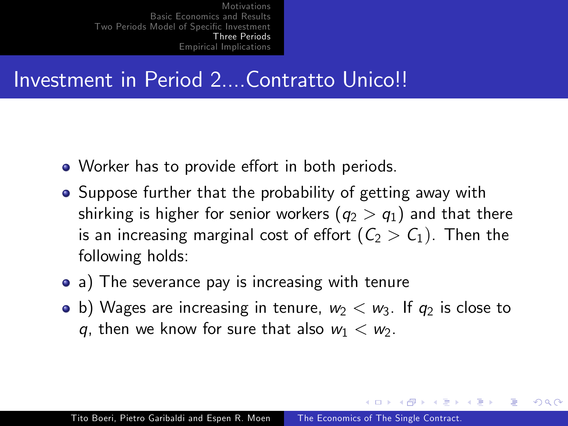## Investment in Period 2....Contratto Unico!!

- Worker has to provide effort in both periods.
- Suppose further that the probability of getting away with shirking is higher for senior workers  $(q_2 > q_1)$  and that there is an increasing marginal cost of effort  $(C_2 > C_1)$ . Then the following holds:
- a) The severance pay is increasing with tenure
- b) Wages are increasing in tenure,  $w_2 < w_3$ . If  $q_2$  is close to q, then we know for sure that also  $w_1 < w_2$ .

 $\mathcal{A}$  and  $\mathcal{A}$  . The set of  $\mathcal{A}$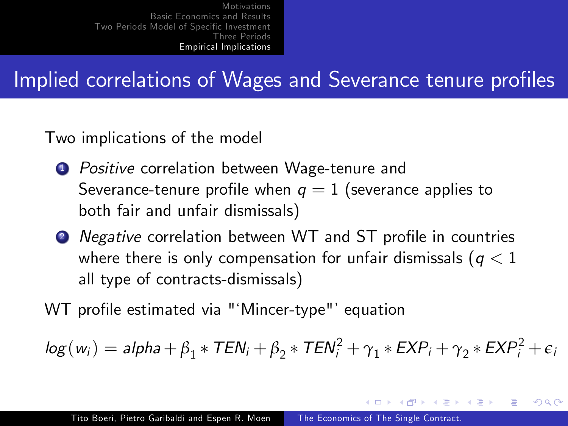## Implied correlations of Wages and Severance tenure profiles

Two implications of the model

- **1** Positive correlation between Wage-tenure and Severance-tenure profile when  $q = 1$  (severance applies to both fair and unfair dismissals)
- <sup>2</sup> Negative correlation between WT and ST profile in countries where there is only compensation for unfair dismissals ( $q < 1$ ) all type of contracts-dismissals)

WT profile estimated via "'Mincer-type"' equation

$$
log(w_i) = alpha + \beta_1 * TEN_i + \beta_2 * TEN_i^2 + \gamma_1 * EXP_i + \gamma_2 * EXP_i^2 + \epsilon_i
$$

∢ 何 ▶ 《 百 ▶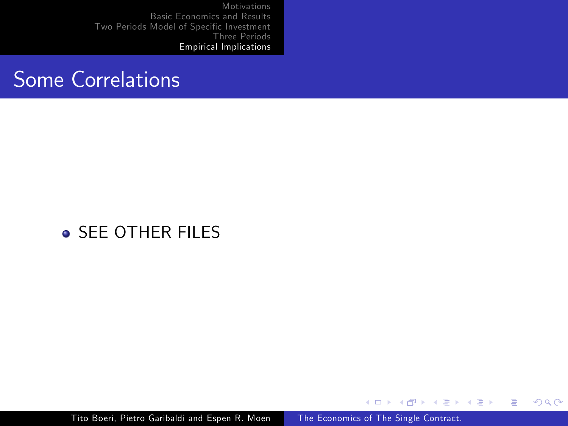### Some Correlations

### **o** SFF OTHER FILES

Tito Boeri, Pietro Garibaldi and Espen R. Moen The Economics of The Single Contract.

イロメ イ母メ イヨメ イヨメ

Þ

 $299$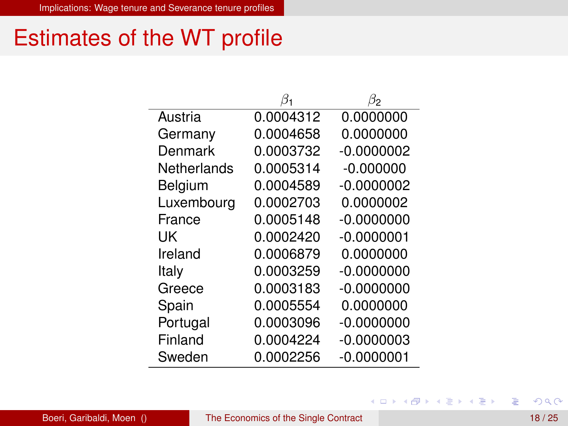## Estimates of the WT profile

|             |           | β2           |
|-------------|-----------|--------------|
| Austria     | 0.0004312 | 0.0000000    |
| Germany     | 0.0004658 | 0.0000000    |
| Denmark     | 0.0003732 | $-0.0000002$ |
| Netherlands | 0.0005314 | $-0.000000$  |
| Belgium     | 0.0004589 | $-0.0000002$ |
| Luxembourg  | 0.0002703 | 0.0000002    |
| France      | 0.0005148 | $-0.0000000$ |
| UΚ          | 0.0002420 | $-0.0000001$ |
| Ireland     | 0.0006879 | 0.0000000    |
| Italy       | 0.0003259 | $-0.0000000$ |
| Greece      | 0.0003183 | $-0.0000000$ |
| Spain       | 0.0005554 | 0.0000000    |
| Portugal    | 0.0003096 | $-0.0000000$ |
| Finland     | 0.0004224 | $-0.0000003$ |
| Sweden      | 0.0002256 | -0.0000001   |

活

K ロ K K 御 K K 君 K K 君 K L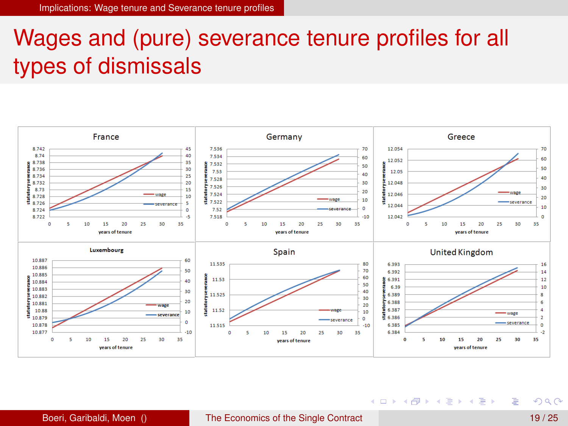# Wages and (pure) severance tenure profiles for all types of dismissals



重

(ロトイ部)→(差)→(差)→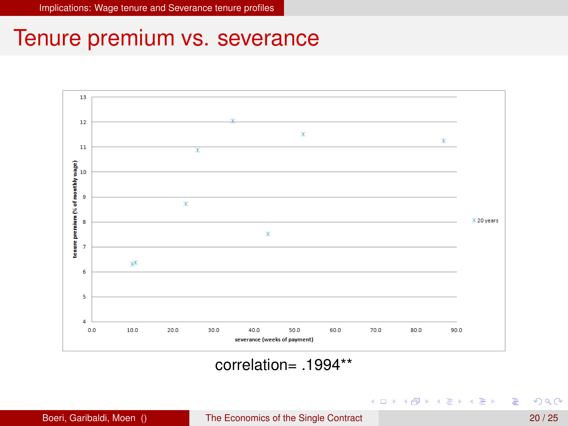

#### $correlation = 1994**$

Boeri, Garibaldi, Moen () The Economics of the Single Contract 20 / 25

 $QQQ$ 

重

 $(0,1)$   $(0,1)$   $(0,1)$   $(1,1)$   $(1,1)$   $(1,1)$   $(1,1)$   $(1,1)$   $(1,1)$   $(1,1)$   $(1,1)$   $(1,1)$   $(1,1)$   $(1,1)$   $(1,1)$   $(1,1)$   $(1,1)$   $(1,1)$   $(1,1)$   $(1,1)$   $(1,1)$   $(1,1)$   $(1,1)$   $(1,1)$   $(1,1)$   $(1,1)$   $(1,1)$   $(1,1$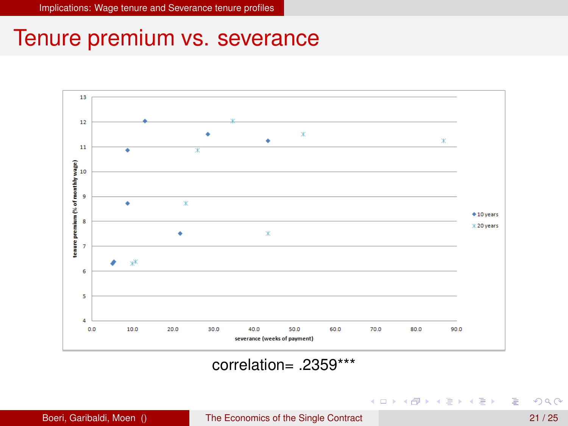

#### $correlation = 2359***$

重

 $(0,1)$   $(0,1)$   $(0,1)$   $(1,1)$   $(1,1)$   $(1,1)$   $(1,1)$   $(1,1)$   $(1,1)$   $(1,1)$   $(1,1)$   $(1,1)$   $(1,1)$   $(1,1)$   $(1,1)$   $(1,1)$   $(1,1)$   $(1,1)$   $(1,1)$   $(1,1)$   $(1,1)$   $(1,1)$   $(1,1)$   $(1,1)$   $(1,1)$   $(1,1)$   $(1,1)$   $(1,1$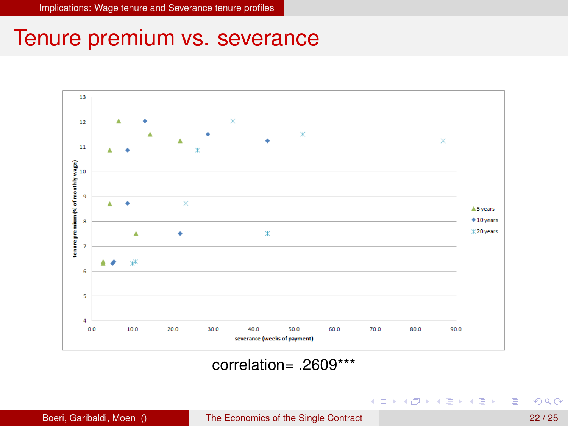

#### correlation= .2609\*\*\*

Boeri, Garibaldi, Moen () The Economics of the Single Contract 22 / 25

重

 $(0,1)$   $(0,1)$   $(0,1)$   $(1,1)$   $(1,1)$   $(1,1)$   $(1,1)$   $(1,1)$   $(1,1)$   $(1,1)$   $(1,1)$   $(1,1)$   $(1,1)$   $(1,1)$   $(1,1)$   $(1,1)$   $(1,1)$   $(1,1)$   $(1,1)$   $(1,1)$   $(1,1)$   $(1,1)$   $(1,1)$   $(1,1)$   $(1,1)$   $(1,1)$   $(1,1)$   $(1,1$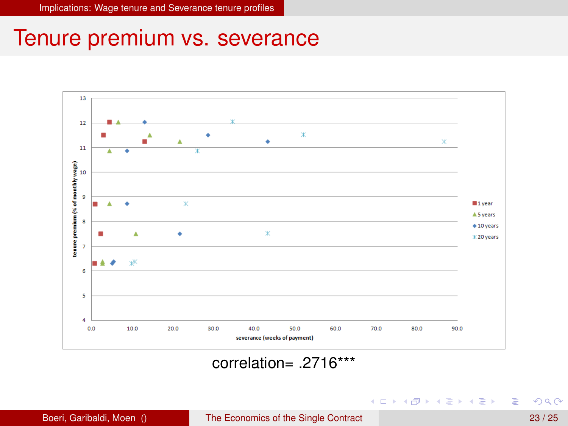

#### correlation= .2716\*\*\*

重

メロトメ 御 トメ 君 トメ 君 ト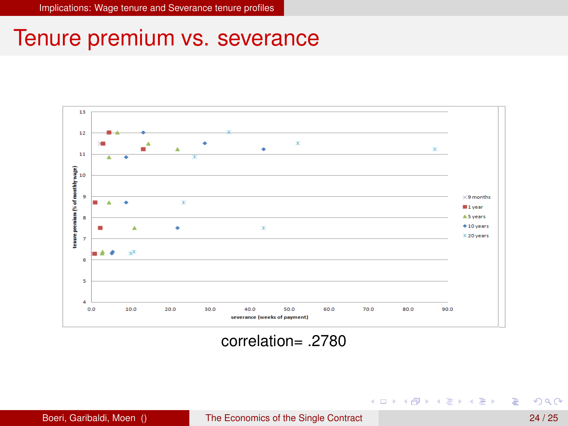

#### correlation= .2780

重

メロトメ 御 トメ 君 トメ 君 ト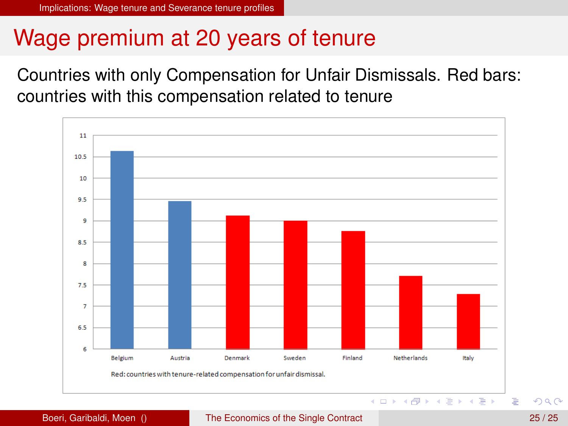# Wage premium at 20 years of tenure

Countries with only Compensation for Unfair Dismissals. Red bars: countries with this compensation related to tenure



#### Boeri, Garibaldi, Moen () The Economics of the Single Contract 25 / 25